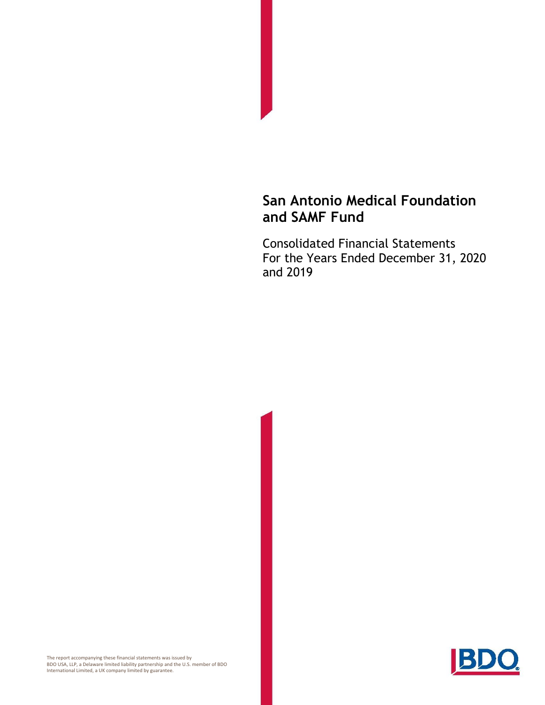Consolidated Financial Statements For the Years Ended December 31, 2020 and 2019



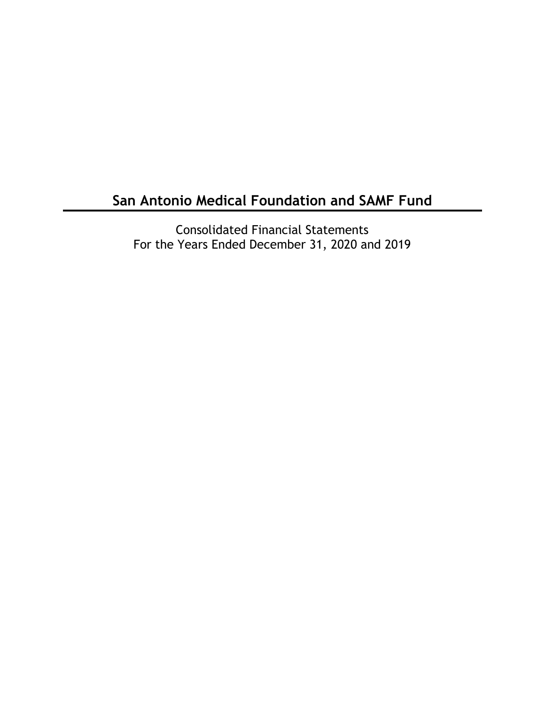Consolidated Financial Statements For the Years Ended December 31, 2020 and 2019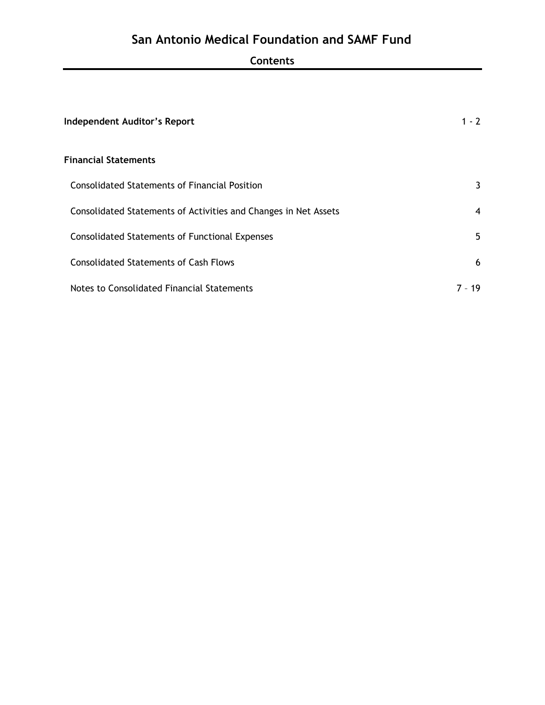# **Contents**

| <b>Independent Auditor's Report</b>                             | $1 - 2$ |
|-----------------------------------------------------------------|---------|
| <b>Financial Statements</b>                                     |         |
| Consolidated Statements of Financial Position                   | 3       |
| Consolidated Statements of Activities and Changes in Net Assets | 4       |
| <b>Consolidated Statements of Functional Expenses</b>           | 5       |
| <b>Consolidated Statements of Cash Flows</b>                    | 6       |
| Notes to Consolidated Financial Statements                      | 7 - 19  |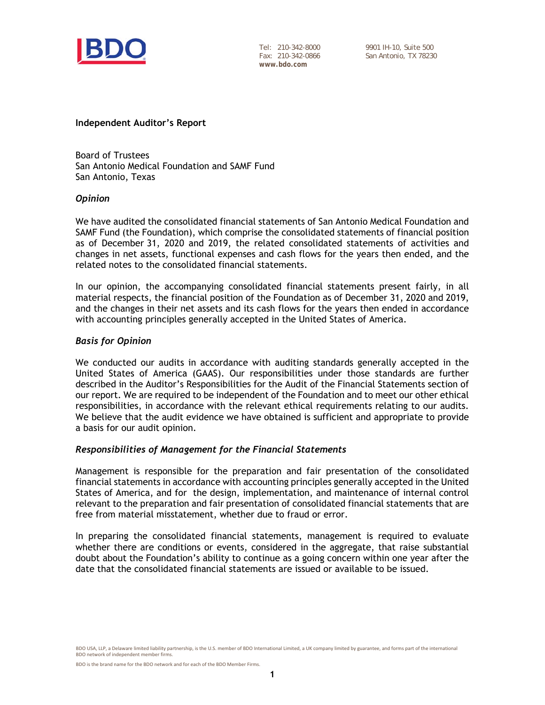

Tel: 210-342-8000 Fax: 210-342-0866 **www.bdo.com** 

9901 IH-10, Suite 500 San Antonio, TX 78230

**Independent Auditor's Report** 

Board of Trustees San Antonio Medical Foundation and SAMF Fund San Antonio, Texas

#### *Opinion*

We have audited the consolidated financial statements of San Antonio Medical Foundation and SAMF Fund (the Foundation), which comprise the consolidated statements of financial position as of December 31, 2020 and 2019, the related consolidated statements of activities and changes in net assets, functional expenses and cash flows for the years then ended, and the related notes to the consolidated financial statements.

In our opinion, the accompanying consolidated financial statements present fairly, in all material respects, the financial position of the Foundation as of December 31, 2020 and 2019, and the changes in their net assets and its cash flows for the years then ended in accordance with accounting principles generally accepted in the United States of America.

#### *Basis for Opinion*

We conducted our audits in accordance with auditing standards generally accepted in the United States of America (GAAS). Our responsibilities under those standards are further described in the Auditor's Responsibilities for the Audit of the Financial Statements section of our report. We are required to be independent of the Foundation and to meet our other ethical responsibilities, in accordance with the relevant ethical requirements relating to our audits. We believe that the audit evidence we have obtained is sufficient and appropriate to provide a basis for our audit opinion.

#### *Responsibilities of Management for the Financial Statements*

Management is responsible for the preparation and fair presentation of the consolidated financial statements in accordance with accounting principles generally accepted in the United States of America, and for the design, implementation, and maintenance of internal control relevant to the preparation and fair presentation of consolidated financial statements that are free from material misstatement, whether due to fraud or error.

In preparing the consolidated financial statements, management is required to evaluate whether there are conditions or events, considered in the aggregate, that raise substantial doubt about the Foundation's ability to continue as a going concern within one year after the date that the consolidated financial statements are issued or available to be issued.

BDO USA, LLP, a Delaware limited liability partnership, is the U.S. member of BDO International Limited, a UK company limited by guarantee, and forms part of the international BDO network of independent member firms.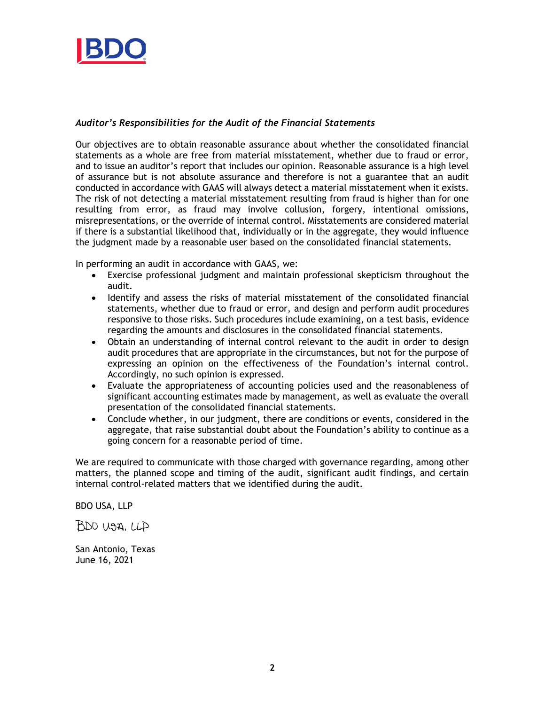

#### *Auditor's Responsibilities for the Audit of the Financial Statements*

Our objectives are to obtain reasonable assurance about whether the consolidated financial statements as a whole are free from material misstatement, whether due to fraud or error, and to issue an auditor's report that includes our opinion. Reasonable assurance is a high level of assurance but is not absolute assurance and therefore is not a guarantee that an audit conducted in accordance with GAAS will always detect a material misstatement when it exists. The risk of not detecting a material misstatement resulting from fraud is higher than for one resulting from error, as fraud may involve collusion, forgery, intentional omissions, misrepresentations, or the override of internal control. Misstatements are considered material if there is a substantial likelihood that, individually or in the aggregate, they would influence the judgment made by a reasonable user based on the consolidated financial statements.

In performing an audit in accordance with GAAS, we:

- Exercise professional judgment and maintain professional skepticism throughout the audit.
- Identify and assess the risks of material misstatement of the consolidated financial statements, whether due to fraud or error, and design and perform audit procedures responsive to those risks. Such procedures include examining, on a test basis, evidence regarding the amounts and disclosures in the consolidated financial statements.
- Obtain an understanding of internal control relevant to the audit in order to design audit procedures that are appropriate in the circumstances, but not for the purpose of expressing an opinion on the effectiveness of the Foundation's internal control. Accordingly, no such opinion is expressed.
- Evaluate the appropriateness of accounting policies used and the reasonableness of significant accounting estimates made by management, as well as evaluate the overall presentation of the consolidated financial statements.
- Conclude whether, in our judgment, there are conditions or events, considered in the aggregate, that raise substantial doubt about the Foundation's ability to continue as a going concern for a reasonable period of time.

We are required to communicate with those charged with governance regarding, among other matters, the planned scope and timing of the audit, significant audit findings, and certain internal control-related matters that we identified during the audit.

BDO USA, LLP

BDO USA, LLD

San Antonio, Texas June 16, 2021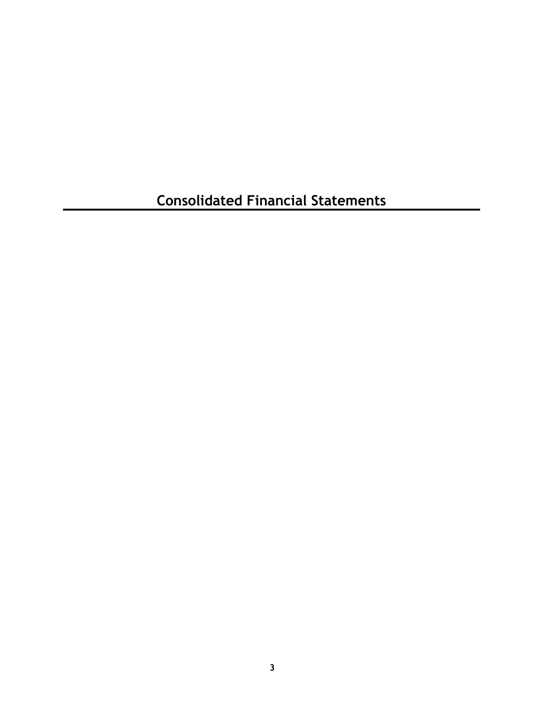**Consolidated Financial Statements**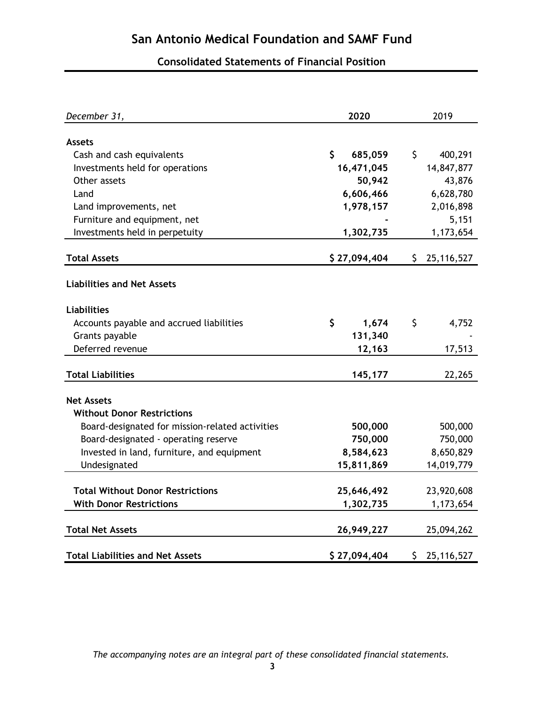# **Consolidated Statements of Financial Position**

| December 31,                                    | 2020          | 2019                |
|-------------------------------------------------|---------------|---------------------|
| <b>Assets</b>                                   |               |                     |
| Cash and cash equivalents                       | \$<br>685,059 | \$<br>400,291       |
| Investments held for operations                 | 16,471,045    | 14,847,877          |
| Other assets                                    | 50,942        | 43,876              |
| Land                                            | 6,606,466     | 6,628,780           |
| Land improvements, net                          | 1,978,157     | 2,016,898           |
| Furniture and equipment, net                    |               | 5,151               |
| Investments held in perpetuity                  | 1,302,735     | 1,173,654           |
|                                                 |               |                     |
| <b>Total Assets</b>                             | \$27,094,404  | \$.<br>25, 116, 527 |
| <b>Liabilities and Net Assets</b>               |               |                     |
|                                                 |               |                     |
| <b>Liabilities</b>                              |               |                     |
| Accounts payable and accrued liabilities        | \$<br>1,674   | \$<br>4,752         |
| Grants payable                                  | 131,340       |                     |
| Deferred revenue                                | 12,163        | 17,513              |
|                                                 |               |                     |
| <b>Total Liabilities</b>                        | 145,177       | 22,265              |
| <b>Net Assets</b>                               |               |                     |
| <b>Without Donor Restrictions</b>               |               |                     |
| Board-designated for mission-related activities | 500,000       | 500,000             |
| Board-designated - operating reserve            | 750,000       | 750,000             |
| Invested in land, furniture, and equipment      | 8,584,623     | 8,650,829           |
| Undesignated                                    | 15,811,869    | 14,019,779          |
|                                                 |               |                     |
| <b>Total Without Donor Restrictions</b>         | 25,646,492    | 23,920,608          |
| <b>With Donor Restrictions</b>                  | 1,302,735     | 1,173,654           |
|                                                 |               |                     |
| <b>Total Net Assets</b>                         | 26,949,227    | 25,094,262          |
| <b>Total Liabilities and Net Assets</b>         | \$27,094,404  | \$<br>25, 116, 527  |

*The accompanying notes are an integral part of these consolidated financial statements.*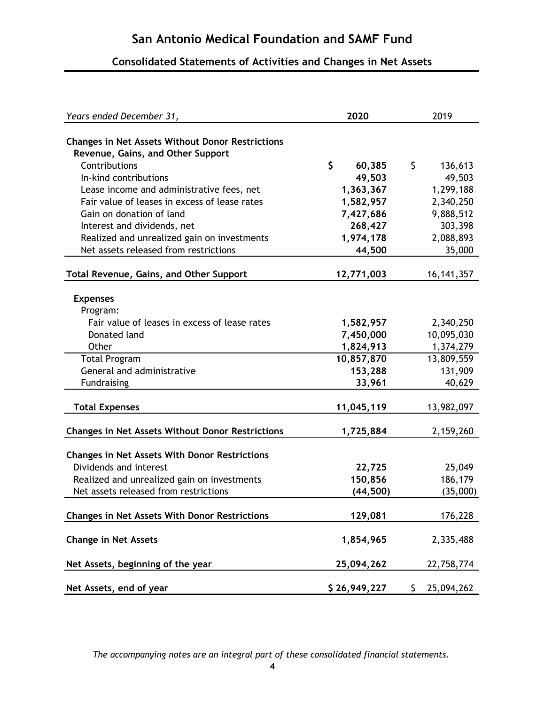# **Consolidated Statements of Activities and Changes in Net Assets**

| Years ended December 31,                                | 2020         | 2019 |              |  |
|---------------------------------------------------------|--------------|------|--------------|--|
| <b>Changes in Net Assets Without Donor Restrictions</b> |              |      |              |  |
| Revenue, Gains, and Other Support                       |              |      |              |  |
| Contributions                                           | \$<br>60,385 | \$   | 136,613      |  |
| In-kind contributions                                   | 49,503       |      | 49,503       |  |
| Lease income and administrative fees, net               | 1,363,367    |      | 1,299,188    |  |
| Fair value of leases in excess of lease rates           | 1,582,957    |      | 2,340,250    |  |
| Gain on donation of land                                | 7,427,686    |      | 9,888,512    |  |
| Interest and dividends, net                             | 268,427      |      | 303,398      |  |
| Realized and unrealized gain on investments             | 1,974,178    |      | 2,088,893    |  |
| Net assets released from restrictions                   | 44,500       |      | 35,000       |  |
|                                                         |              |      |              |  |
| Total Revenue, Gains, and Other Support                 | 12,771,003   |      | 16, 141, 357 |  |
| <b>Expenses</b>                                         |              |      |              |  |
| Program:                                                |              |      |              |  |
| Fair value of leases in excess of lease rates           | 1,582,957    |      | 2,340,250    |  |
| Donated land                                            | 7,450,000    |      | 10,095,030   |  |
| Other                                                   | 1,824,913    |      | 1,374,279    |  |
| <b>Total Program</b>                                    | 10,857,870   |      | 13,809,559   |  |
| General and administrative                              | 153,288      |      | 131,909      |  |
| Fundraising                                             | 33,961       |      | 40,629       |  |
|                                                         |              |      |              |  |
| <b>Total Expenses</b>                                   | 11,045,119   |      | 13,982,097   |  |
| <b>Changes in Net Assets Without Donor Restrictions</b> | 1,725,884    |      | 2,159,260    |  |
|                                                         |              |      |              |  |
| <b>Changes in Net Assets With Donor Restrictions</b>    |              |      |              |  |
| Dividends and interest                                  | 22,725       |      | 25,049       |  |
| Realized and unrealized gain on investments             | 150,856      |      | 186,179      |  |
| Net assets released from restrictions                   | (44, 500)    |      | (35,000)     |  |
|                                                         |              |      |              |  |
| <b>Changes in Net Assets With Donor Restrictions</b>    | 129,081      |      | 176,228      |  |
| <b>Change in Net Assets</b>                             | 1,854,965    |      | 2,335,488    |  |
| Net Assets, beginning of the year                       | 25,094,262   |      | 22,758,774   |  |
| Net Assets, end of year                                 | \$26,949,227 | \$.  | 25,094,262   |  |

*The accompanying notes are an integral part of these consolidated financial statements.*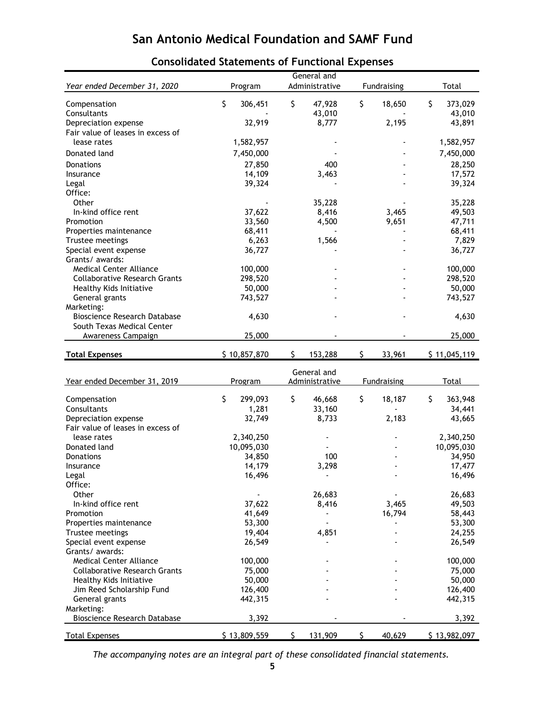|                                            |                  |    | General and    |              |                  |
|--------------------------------------------|------------------|----|----------------|--------------|------------------|
| Year ended December 31, 2020               | Program          |    | Administrative | Fundraising  | Total            |
| Compensation                               | \$<br>306,451    | \$ | 47,928         | \$<br>18,650 | \$<br>373,029    |
| Consultants                                |                  |    | 43,010         |              | 43,010           |
| Depreciation expense                       | 32,919           |    | 8,777          | 2,195        | 43,891           |
| Fair value of leases in excess of          |                  |    |                |              |                  |
| lease rates                                | 1,582,957        |    |                |              | 1,582,957        |
| Donated land                               | 7,450,000        |    |                |              | 7,450,000        |
| Donations                                  | 27,850           |    | 400            |              | 28,250           |
| Insurance                                  | 14,109           |    | 3,463          |              | 17,572           |
| Legal                                      | 39,324           |    |                |              | 39,324           |
| Office:                                    |                  |    |                |              |                  |
| Other                                      |                  |    | 35,228         |              | 35,228           |
| In-kind office rent                        | 37,622           |    | 8,416          | 3,465        | 49,503           |
| Promotion                                  | 33,560<br>68,411 |    | 4,500          | 9,651        | 47,711<br>68,411 |
| Properties maintenance<br>Trustee meetings | 6,263            |    | 1,566          |              | 7,829            |
| Special event expense                      | 36,727           |    |                |              | 36,727           |
| Grants/ awards:                            |                  |    |                |              |                  |
| <b>Medical Center Alliance</b>             | 100,000          |    |                |              | 100,000          |
| <b>Collaborative Research Grants</b>       | 298,520          |    |                |              | 298,520          |
| Healthy Kids Initiative                    | 50,000           |    |                |              | 50,000           |
| General grants                             | 743,527          |    |                |              | 743,527          |
| Marketing:                                 |                  |    |                |              |                  |
| <b>Bioscience Research Database</b>        | 4,630            |    |                |              | 4,630            |
| South Texas Medical Center                 |                  |    |                |              |                  |
| <b>Awareness Campaign</b>                  | 25,000           |    |                |              | 25,000           |
| <b>Total Expenses</b>                      | \$10,857,870     | S. | 153,288        | \$<br>33,961 | \$11,045,119     |
|                                            |                  |    | General and    |              |                  |
| Year ended December 31, 2019               | Program          |    | Administrative | Fundraising  | <b>Total</b>     |
| Compensation                               | \$<br>299,093    | \$ | 46,668         | \$<br>18,187 | \$<br>363,948    |
| Consultants                                | 1,281            |    | 33,160         |              | 34,441           |
| Depreciation expense                       | 32,749           |    | 8,733          | 2,183        | 43,665           |
| Fair value of leases in excess of          |                  |    |                |              |                  |
| lease rates                                | 2,340,250        |    |                |              | 2,340,250        |
| Donated land                               | 10,095,030       |    |                |              | 10,095,030       |
| Donations                                  | 34,850           |    | 100            |              | 34,950           |
| Insurance                                  | 14,179           |    | 3,298          |              | 17,477           |
| Legal<br>Office:                           | 16,496           |    |                |              | 16,496           |
| Other                                      |                  |    | 26,683         |              | 26,683           |
| In-kind office rent                        | 37,622           |    | 8,416          | 3,465        | 49,503           |
| Promotion                                  | 41,649           |    |                | 16,794       | 58,443           |
| Properties maintenance                     | 53,300           |    |                |              | 53,300           |
| Trustee meetings                           | 19,404           |    | 4,851          |              | 24,255           |
| Special event expense                      | 26,549           |    |                |              | 26,549           |
| Grants/ awards:                            |                  |    |                |              |                  |
| <b>Medical Center Alliance</b>             | 100,000          |    |                |              | 100,000          |
| <b>Collaborative Research Grants</b>       | 75,000           |    |                |              | 75,000           |
| Healthy Kids Initiative                    | 50,000           |    |                |              | 50,000           |
| Jim Reed Scholarship Fund                  | 126,400          |    |                |              | 126,400          |
| General grants<br>Marketing:               | 442,315          |    |                |              | 442,315          |
| Bioscience Research Database               | 3,392            |    |                |              | 3,392            |
| <b>Total Expenses</b>                      | \$13,809,559     | \$ | 131,909        | \$<br>40,629 | \$13,982,097     |

*The accompanying notes are an integral part of these consolidated financial statements.*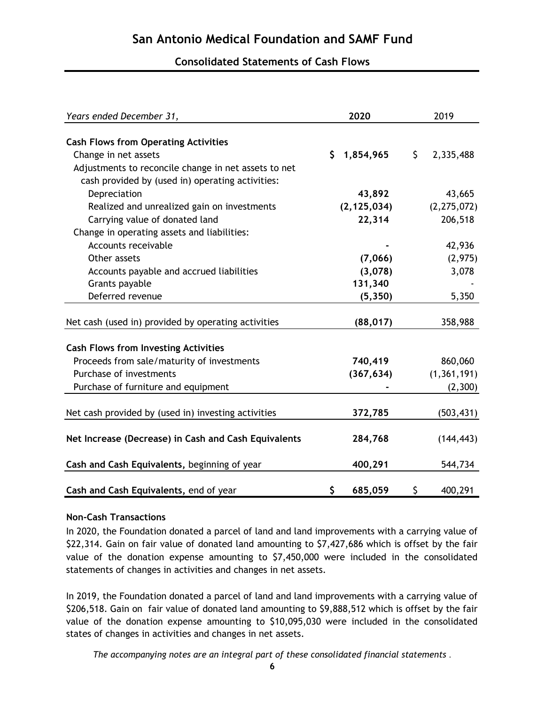# **Consolidated Statements of Cash Flows**

| Years ended December 31,                             | 2020          | 2019            |  |  |
|------------------------------------------------------|---------------|-----------------|--|--|
|                                                      |               |                 |  |  |
| <b>Cash Flows from Operating Activities</b>          |               |                 |  |  |
| Change in net assets                                 | \$1,854,965   | \$<br>2,335,488 |  |  |
| Adjustments to reconcile change in net assets to net |               |                 |  |  |
| cash provided by (used in) operating activities:     |               |                 |  |  |
| Depreciation                                         | 43,892        | 43,665          |  |  |
| Realized and unrealized gain on investments          | (2, 125, 034) | (2, 275, 072)   |  |  |
| Carrying value of donated land                       | 22,314        | 206,518         |  |  |
| Change in operating assets and liabilities:          |               |                 |  |  |
| Accounts receivable                                  |               | 42,936          |  |  |
| Other assets                                         | (7,066)       | (2,975)         |  |  |
| Accounts payable and accrued liabilities             | (3,078)       | 3,078           |  |  |
| Grants payable                                       | 131,340       |                 |  |  |
| Deferred revenue                                     | (5, 350)      | 5,350           |  |  |
| Net cash (used in) provided by operating activities  | (88, 017)     | 358,988         |  |  |
|                                                      |               |                 |  |  |
| <b>Cash Flows from Investing Activities</b>          |               |                 |  |  |
| Proceeds from sale/maturity of investments           | 740,419       | 860,060         |  |  |
| Purchase of investments                              | (367, 634)    | (1, 361, 191)   |  |  |
| Purchase of furniture and equipment                  |               | (2,300)         |  |  |
|                                                      |               |                 |  |  |
| Net cash provided by (used in) investing activities  | 372,785       | (503, 431)      |  |  |
| Net Increase (Decrease) in Cash and Cash Equivalents | 284,768       | (144, 443)      |  |  |
| Cash and Cash Equivalents, beginning of year         | 400,291       | 544,734         |  |  |
| Cash and Cash Equivalents, end of year               | \$<br>685,059 | \$<br>400,291   |  |  |

#### **Non-Cash Transactions**

In 2020, the Foundation donated a parcel of land and land improvements with a carrying value of \$22,314. Gain on fair value of donated land amounting to \$7,427,686 which is offset by the fair value of the donation expense amounting to \$7,450,000 were included in the consolidated statements of changes in activities and changes in net assets.

In 2019, the Foundation donated a parcel of land and land improvements with a carrying value of \$206,518. Gain on fair value of donated land amounting to \$9,888,512 which is offset by the fair value of the donation expense amounting to \$10,095,030 were included in the consolidated states of changes in activities and changes in net assets.

*The accompanying notes are an integral part of these consolidated financial statements* .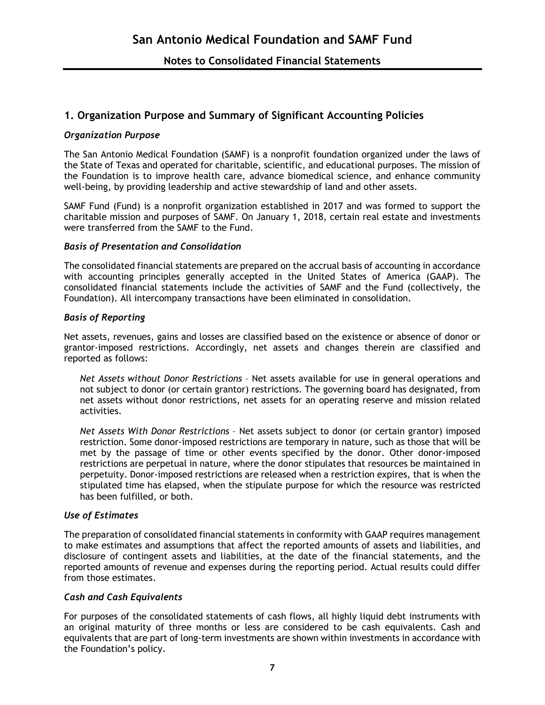### **1. Organization Purpose and Summary of Significant Accounting Policies**

#### *Organization Purpose*

The San Antonio Medical Foundation (SAMF) is a nonprofit foundation organized under the laws of the State of Texas and operated for charitable, scientific, and educational purposes. The mission of the Foundation is to improve health care, advance biomedical science, and enhance community well-being, by providing leadership and active stewardship of land and other assets.

SAMF Fund (Fund) is a nonprofit organization established in 2017 and was formed to support the charitable mission and purposes of SAMF. On January 1, 2018, certain real estate and investments were transferred from the SAMF to the Fund.

#### *Basis of Presentation and Consolidation*

The consolidated financial statements are prepared on the accrual basis of accounting in accordance with accounting principles generally accepted in the United States of America (GAAP). The consolidated financial statements include the activities of SAMF and the Fund (collectively, the Foundation). All intercompany transactions have been eliminated in consolidation.

#### *Basis of Reporting*

Net assets, revenues, gains and losses are classified based on the existence or absence of donor or grantor-imposed restrictions. Accordingly, net assets and changes therein are classified and reported as follows:

*Net Assets without Donor Restrictions* – Net assets available for use in general operations and not subject to donor (or certain grantor) restrictions. The governing board has designated, from net assets without donor restrictions, net assets for an operating reserve and mission related activities.

*Net Assets With Donor Restrictions* – Net assets subject to donor (or certain grantor) imposed restriction. Some donor-imposed restrictions are temporary in nature, such as those that will be met by the passage of time or other events specified by the donor. Other donor-imposed restrictions are perpetual in nature, where the donor stipulates that resources be maintained in perpetuity. Donor-imposed restrictions are released when a restriction expires, that is when the stipulated time has elapsed, when the stipulate purpose for which the resource was restricted has been fulfilled, or both.

#### *Use of Estimates*

The preparation of consolidated financial statements in conformity with GAAP requires management to make estimates and assumptions that affect the reported amounts of assets and liabilities, and disclosure of contingent assets and liabilities, at the date of the financial statements, and the reported amounts of revenue and expenses during the reporting period. Actual results could differ from those estimates.

#### *Cash and Cash Equivalents*

For purposes of the consolidated statements of cash flows, all highly liquid debt instruments with an original maturity of three months or less are considered to be cash equivalents. Cash and equivalents that are part of long-term investments are shown within investments in accordance with the Foundation's policy.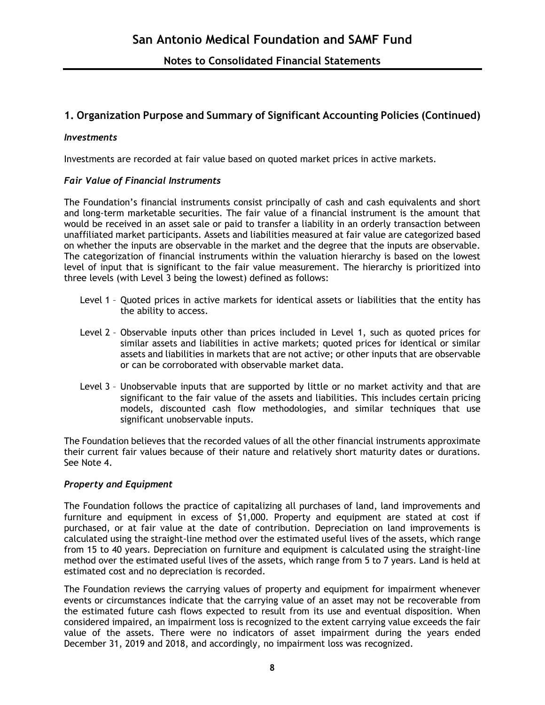# **1. Organization Purpose and Summary of Significant Accounting Policies (Continued)**

#### *Investments*

Investments are recorded at fair value based on quoted market prices in active markets.

#### *Fair Value of Financial Instruments*

The Foundation's financial instruments consist principally of cash and cash equivalents and short and long-term marketable securities. The fair value of a financial instrument is the amount that would be received in an asset sale or paid to transfer a liability in an orderly transaction between unaffiliated market participants. Assets and liabilities measured at fair value are categorized based on whether the inputs are observable in the market and the degree that the inputs are observable. The categorization of financial instruments within the valuation hierarchy is based on the lowest level of input that is significant to the fair value measurement. The hierarchy is prioritized into three levels (with Level 3 being the lowest) defined as follows:

- Level 1 Quoted prices in active markets for identical assets or liabilities that the entity has the ability to access.
- Level 2 Observable inputs other than prices included in Level 1, such as quoted prices for similar assets and liabilities in active markets; quoted prices for identical or similar assets and liabilities in markets that are not active; or other inputs that are observable or can be corroborated with observable market data.
- Level 3 Unobservable inputs that are supported by little or no market activity and that are significant to the fair value of the assets and liabilities. This includes certain pricing models, discounted cash flow methodologies, and similar techniques that use significant unobservable inputs.

The Foundation believes that the recorded values of all the other financial instruments approximate their current fair values because of their nature and relatively short maturity dates or durations. See Note 4.

#### *Property and Equipment*

The Foundation follows the practice of capitalizing all purchases of land, land improvements and furniture and equipment in excess of \$1,000. Property and equipment are stated at cost if purchased, or at fair value at the date of contribution. Depreciation on land improvements is calculated using the straight-line method over the estimated useful lives of the assets, which range from 15 to 40 years. Depreciation on furniture and equipment is calculated using the straight-line method over the estimated useful lives of the assets, which range from 5 to 7 years. Land is held at estimated cost and no depreciation is recorded.

The Foundation reviews the carrying values of property and equipment for impairment whenever events or circumstances indicate that the carrying value of an asset may not be recoverable from the estimated future cash flows expected to result from its use and eventual disposition. When considered impaired, an impairment loss is recognized to the extent carrying value exceeds the fair value of the assets. There were no indicators of asset impairment during the years ended December 31, 2019 and 2018, and accordingly, no impairment loss was recognized.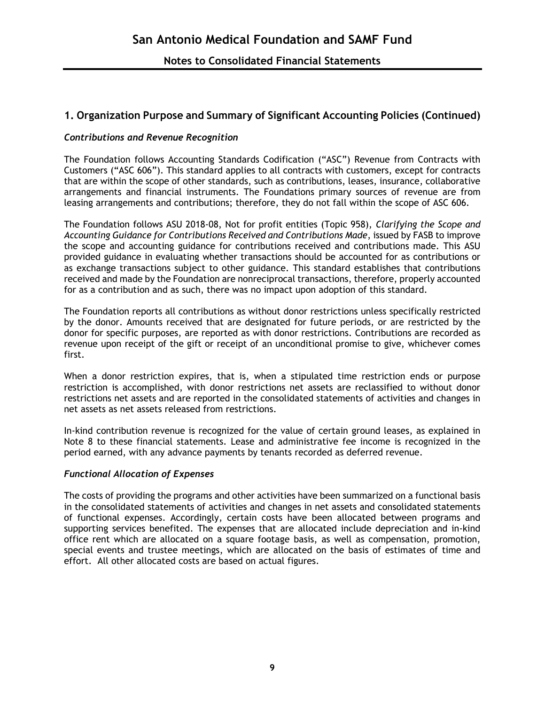### **Notes to Consolidated Financial Statements**

### **1. Organization Purpose and Summary of Significant Accounting Policies (Continued)**

#### *Contributions and Revenue Recognition*

The Foundation follows Accounting Standards Codification ("ASC") Revenue from Contracts with Customers ("ASC 606"). This standard applies to all contracts with customers, except for contracts that are within the scope of other standards, such as contributions, leases, insurance, collaborative arrangements and financial instruments. The Foundations primary sources of revenue are from leasing arrangements and contributions; therefore, they do not fall within the scope of ASC 606.

The Foundation follows ASU 2018-08, Not for profit entities (Topic 958), *Clarifying the Scope and Accounting Guidance for Contributions Received and Contributions Made*, issued by FASB to improve the scope and accounting guidance for contributions received and contributions made. This ASU provided guidance in evaluating whether transactions should be accounted for as contributions or as exchange transactions subject to other guidance. This standard establishes that contributions received and made by the Foundation are nonreciprocal transactions, therefore, properly accounted for as a contribution and as such, there was no impact upon adoption of this standard.

The Foundation reports all contributions as without donor restrictions unless specifically restricted by the donor. Amounts received that are designated for future periods, or are restricted by the donor for specific purposes, are reported as with donor restrictions. Contributions are recorded as revenue upon receipt of the gift or receipt of an unconditional promise to give, whichever comes first.

When a donor restriction expires, that is, when a stipulated time restriction ends or purpose restriction is accomplished, with donor restrictions net assets are reclassified to without donor restrictions net assets and are reported in the consolidated statements of activities and changes in net assets as net assets released from restrictions.

In-kind contribution revenue is recognized for the value of certain ground leases, as explained in Note 8 to these financial statements. Lease and administrative fee income is recognized in the period earned, with any advance payments by tenants recorded as deferred revenue.

#### *Functional Allocation of Expenses*

The costs of providing the programs and other activities have been summarized on a functional basis in the consolidated statements of activities and changes in net assets and consolidated statements of functional expenses. Accordingly, certain costs have been allocated between programs and supporting services benefited. The expenses that are allocated include depreciation and in-kind office rent which are allocated on a square footage basis, as well as compensation, promotion, special events and trustee meetings, which are allocated on the basis of estimates of time and effort. All other allocated costs are based on actual figures.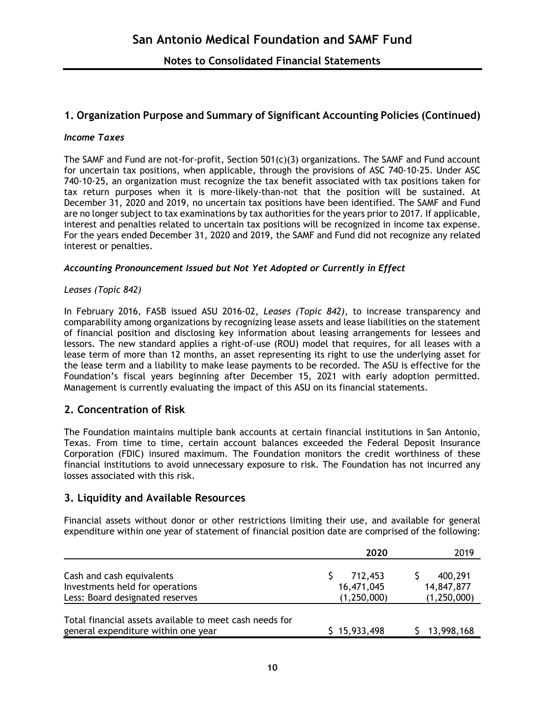# **1. Organization Purpose and Summary of Significant Accounting Policies (Continued)**

#### *Income Taxes*

The SAMF and Fund are not-for-profit, Section 501(c)(3) organizations. The SAMF and Fund account for uncertain tax positions, when applicable, through the provisions of ASC 740-10-25. Under ASC 740-10-25, an organization must recognize the tax benefit associated with tax positions taken for tax return purposes when it is more-likely-than-not that the position will be sustained. At December 31, 2020 and 2019, no uncertain tax positions have been identified. The SAMF and Fund are no longer subject to tax examinations by tax authorities for the years prior to 2017. If applicable, interest and penalties related to uncertain tax positions will be recognized in income tax expense. For the years ended December 31, 2020 and 2019, the SAMF and Fund did not recognize any related interest or penalties.

#### *Accounting Pronouncement Issued but Not Yet Adopted or Currently in Effect*

#### *Leases (Topic 842)*

In February 2016, FASB issued ASU 2016-02, *Leases (Topic 842)*, to increase transparency and comparability among organizations by recognizing lease assets and lease liabilities on the statement of financial position and disclosing key information about leasing arrangements for lessees and lessors. The new standard applies a right-of-use (ROU) model that requires, for all leases with a lease term of more than 12 months, an asset representing its right to use the underlying asset for the lease term and a liability to make lease payments to be recorded. The ASU is effective for the Foundation's fiscal years beginning after December 15, 2021 with early adoption permitted. Management is currently evaluating the impact of this ASU on its financial statements.

#### **2. Concentration of Risk**

The Foundation maintains multiple bank accounts at certain financial institutions in San Antonio, Texas. From time to time, certain account balances exceeded the Federal Deposit Insurance Corporation (FDIC) insured maximum. The Foundation monitors the credit worthiness of these financial institutions to avoid unnecessary exposure to risk. The Foundation has not incurred any losses associated with this risk.

#### **3. Liquidity and Available Resources**

Financial assets without donor or other restrictions limiting their use, and available for general expenditure within one year of statement of financial position date are comprised of the following:

|                                                                                                 | 2020                                   | 2019                                   |
|-------------------------------------------------------------------------------------------------|----------------------------------------|----------------------------------------|
| Cash and cash equivalents<br>Investments held for operations<br>Less: Board designated reserves | 712,453<br>16,471,045<br>(1, 250, 000) | 400,291<br>14,847,877<br>(1, 250, 000) |
| Total financial assets available to meet cash needs for<br>general expenditure within one year  | \$15,933,498                           | 13,998,168                             |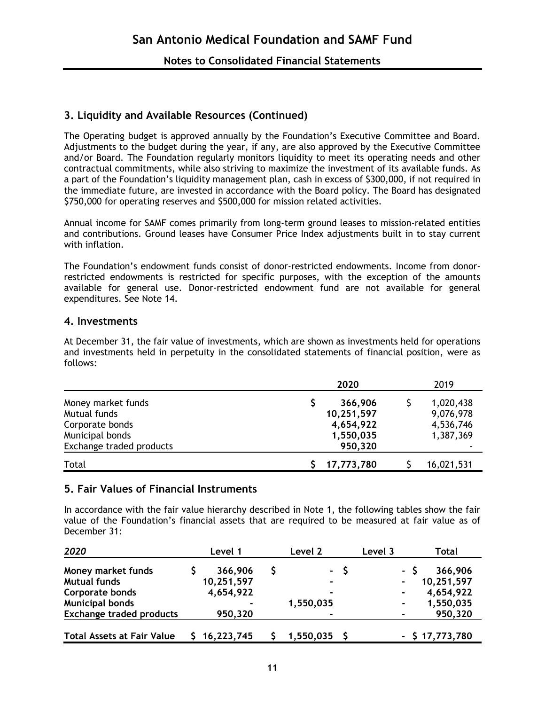# **3. Liquidity and Available Resources (Continued)**

The Operating budget is approved annually by the Foundation's Executive Committee and Board. Adjustments to the budget during the year, if any, are also approved by the Executive Committee and/or Board. The Foundation regularly monitors liquidity to meet its operating needs and other contractual commitments, while also striving to maximize the investment of its available funds. As a part of the Foundation's liquidity management plan, cash in excess of \$300,000, if not required in the immediate future, are invested in accordance with the Board policy. The Board has designated \$750,000 for operating reserves and \$500,000 for mission related activities.

Annual income for SAMF comes primarily from long-term ground leases to mission-related entities and contributions. Ground leases have Consumer Price Index adjustments built in to stay current with inflation.

The Foundation's endowment funds consist of donor-restricted endowments. Income from donorrestricted endowments is restricted for specific purposes, with the exception of the amounts available for general use. Donor-restricted endowment fund are not available for general expenditures. See Note 14.

#### **4. Investments**

At December 31, the fair value of investments, which are shown as investments held for operations and investments held in perpetuity in the consolidated statements of financial position, were as follows:

|                          | 2020       | 2019           |  |
|--------------------------|------------|----------------|--|
| Money market funds       | 366,906    | 1,020,438      |  |
| Mutual funds             | 10,251,597 | 9,076,978      |  |
| Corporate bonds          | 4,654,922  | 4,536,746      |  |
| Municipal bonds          | 1,550,035  | 1,387,369      |  |
| Exchange traded products | 950,320    | $\blacksquare$ |  |
| Total                    | 17,773,780 | 16,021,531     |  |

# **5. Fair Values of Financial Instruments**

In accordance with the fair value hierarchy described in Note 1, the following tables show the fair value of the Foundation's financial assets that are required to be measured at fair value as of December 31:

| 2020                              | Level 1    | Level 2   | Level 3    | Total             |
|-----------------------------------|------------|-----------|------------|-------------------|
| Money market funds                | 366,906    |           | - S<br>- S | 366,906           |
| <b>Mutual funds</b>               | 10,251,597 | ۰         |            | 10,251,597        |
| Corporate bonds                   | 4,654,922  |           | ۰          | 4,654,922         |
| <b>Municipal bonds</b>            |            | 1,550,035 |            | 1,550,035         |
| <b>Exchange traded products</b>   | 950,320    |           |            | 950,320           |
| <b>Total Assets at Fair Value</b> | 16,223,745 | 1,550,035 |            | $-$ \$ 17,773,780 |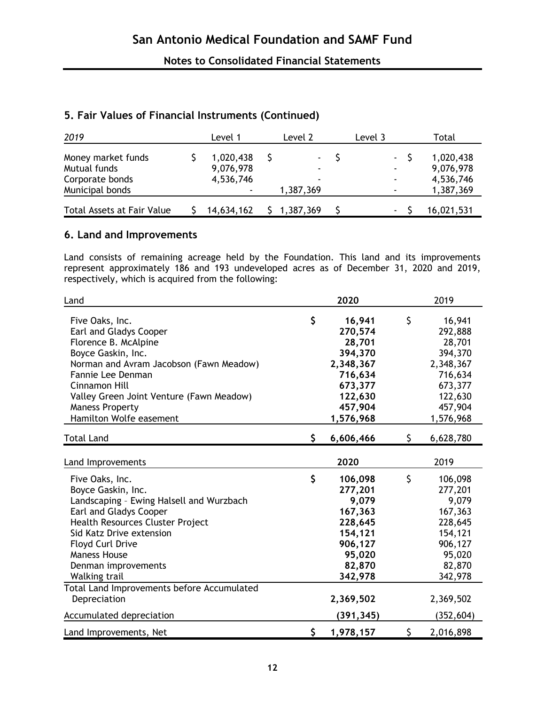# **5. Fair Values of Financial Instruments (Continued)**

| 2019                                                                     | Level 1                                               | Level 2                                   | Level 3                               |      | Total                                            |
|--------------------------------------------------------------------------|-------------------------------------------------------|-------------------------------------------|---------------------------------------|------|--------------------------------------------------|
| Money market funds<br>Mutual funds<br>Corporate bonds<br>Municipal bonds | 1,020,438<br>9,076,978<br>4,536,746<br>$\blacksquare$ | $\sim 100$<br>$\blacksquare$<br>1,387,369 | $\blacksquare$<br>$\blacksquare$<br>- | $-S$ | 1,020,438<br>9,076,978<br>4,536,746<br>1,387,369 |
| Total Assets at Fair Value                                               | 14,634,162                                            | 1,387,369                                 |                                       |      | 16,021,531                                       |

### **6. Land and Improvements**

Land consists of remaining acreage held by the Foundation. This land and its improvements represent approximately 186 and 193 undeveloped acres as of December 31, 2020 and 2019, respectively, which is acquired from the following:

| Land                                       | 2020            | 2019            |
|--------------------------------------------|-----------------|-----------------|
| Five Oaks, Inc.                            | \$<br>16,941    | \$<br>16,941    |
| Earl and Gladys Cooper                     | 270,574         | 292,888         |
| Florence B. McAlpine                       | 28,701          | 28,701          |
| Boyce Gaskin, Inc.                         | 394,370         | 394,370         |
| Norman and Avram Jacobson (Fawn Meadow)    | 2,348,367       | 2,348,367       |
| Fannie Lee Denman                          | 716,634         | 716,634         |
| Cinnamon Hill                              | 673,377         | 673,377         |
| Valley Green Joint Venture (Fawn Meadow)   | 122,630         | 122,630         |
| <b>Maness Property</b>                     | 457,904         | 457,904         |
| Hamilton Wolfe easement                    | 1,576,968       | 1,576,968       |
| <b>Total Land</b>                          | \$<br>6,606,466 | \$<br>6,628,780 |
|                                            |                 |                 |
| Land Improvements                          | 2020            | 2019            |
| Five Oaks, Inc.                            | \$<br>106,098   | \$<br>106,098   |
| Boyce Gaskin, Inc.                         | 277,201         | 277,201         |
| Landscaping - Ewing Halsell and Wurzbach   | 9,079           | 9,079           |
| Earl and Gladys Cooper                     | 167,363         | 167,363         |
| Health Resources Cluster Project           | 228,645         | 228,645         |
| Sid Katz Drive extension                   | 154,121         | 154,121         |
| <b>Floyd Curl Drive</b>                    | 906,127         | 906,127         |
| <b>Maness House</b>                        | 95,020          | 95,020          |
| Denman improvements                        | 82,870          | 82,870          |
| <b>Walking trail</b>                       | 342,978         | 342,978         |
| Total Land Improvements before Accumulated |                 |                 |
| Depreciation                               | 2,369,502       | 2,369,502       |
| Accumulated depreciation                   | (391,345)       | (352, 604)      |
| Land Improvements, Net                     | \$<br>1,978,157 | \$<br>2,016,898 |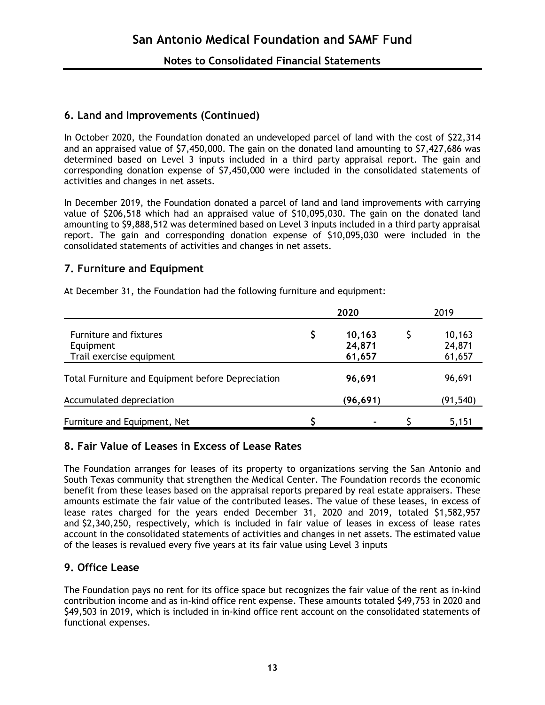# **6. Land and Improvements (Continued)**

In October 2020, the Foundation donated an undeveloped parcel of land with the cost of \$22,314 and an appraised value of \$7,450,000. The gain on the donated land amounting to \$7,427,686 was determined based on Level 3 inputs included in a third party appraisal report. The gain and corresponding donation expense of \$7,450,000 were included in the consolidated statements of activities and changes in net assets.

In December 2019, the Foundation donated a parcel of land and land improvements with carrying value of \$206,518 which had an appraised value of \$10,095,030. The gain on the donated land amounting to \$9,888,512 was determined based on Level 3 inputs included in a third party appraisal report. The gain and corresponding donation expense of \$10,095,030 were included in the consolidated statements of activities and changes in net assets.

# **7. Furniture and Equipment**

At December 31, the Foundation had the following furniture and equipment:

| Furniture and fixtures                            |  | 2020      | 2019      |  |  |
|---------------------------------------------------|--|-----------|-----------|--|--|
|                                                   |  | 10,163    | 10,163    |  |  |
| Equipment                                         |  | 24,871    | 24,871    |  |  |
| Trail exercise equipment                          |  | 61,657    | 61,657    |  |  |
| Total Furniture and Equipment before Depreciation |  | 96,691    | 96,691    |  |  |
| Accumulated depreciation                          |  | (96, 691) | (91, 540) |  |  |
| Furniture and Equipment, Net                      |  | ۰         | 5,151     |  |  |

### **8. Fair Value of Leases in Excess of Lease Rates**

The Foundation arranges for leases of its property to organizations serving the San Antonio and South Texas community that strengthen the Medical Center. The Foundation records the economic benefit from these leases based on the appraisal reports prepared by real estate appraisers. These amounts estimate the fair value of the contributed leases. The value of these leases, in excess of lease rates charged for the years ended December 31, 2020 and 2019, totaled \$1,582,957 and \$2,340,250, respectively, which is included in fair value of leases in excess of lease rates account in the consolidated statements of activities and changes in net assets. The estimated value of the leases is revalued every five years at its fair value using Level 3 inputs

# **9. Office Lease**

The Foundation pays no rent for its office space but recognizes the fair value of the rent as in-kind contribution income and as in-kind office rent expense. These amounts totaled \$49,753 in 2020 and \$49,503 in 2019, which is included in in-kind office rent account on the consolidated statements of functional expenses.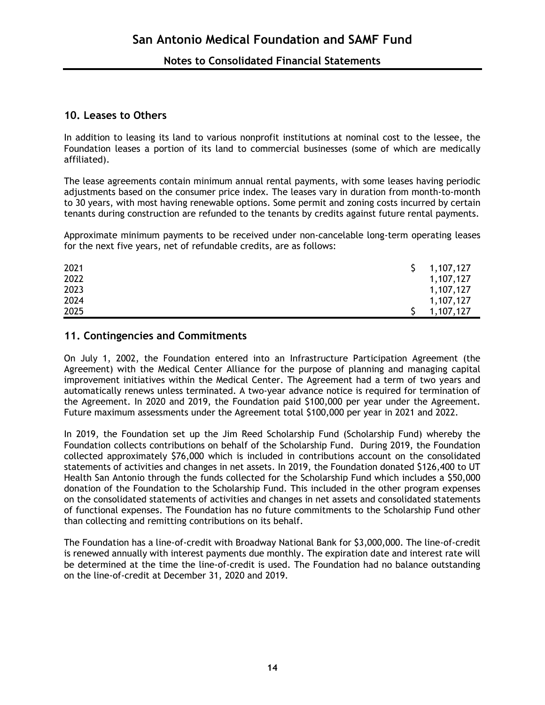### **10. Leases to Others**

In addition to leasing its land to various nonprofit institutions at nominal cost to the lessee, the Foundation leases a portion of its land to commercial businesses (some of which are medically affiliated).

The lease agreements contain minimum annual rental payments, with some leases having periodic adjustments based on the consumer price index. The leases vary in duration from month-to-month to 30 years, with most having renewable options. Some permit and zoning costs incurred by certain tenants during construction are refunded to the tenants by credits against future rental payments.

Approximate minimum payments to be received under non-cancelable long-term operating leases for the next five years, net of refundable credits, are as follows:

| 2021 | 1,107,127 |
|------|-----------|
| 2022 | 1,107,127 |
| 2023 | 1,107,127 |
| 2024 | 1,107,127 |
| 2025 | ,107,127  |

#### **11. Contingencies and Commitments**

On July 1, 2002, the Foundation entered into an Infrastructure Participation Agreement (the Agreement) with the Medical Center Alliance for the purpose of planning and managing capital improvement initiatives within the Medical Center. The Agreement had a term of two years and automatically renews unless terminated. A two-year advance notice is required for termination of the Agreement. In 2020 and 2019, the Foundation paid \$100,000 per year under the Agreement. Future maximum assessments under the Agreement total \$100,000 per year in 2021 and 2022.

In 2019, the Foundation set up the Jim Reed Scholarship Fund (Scholarship Fund) whereby the Foundation collects contributions on behalf of the Scholarship Fund. During 2019, the Foundation collected approximately \$76,000 which is included in contributions account on the consolidated statements of activities and changes in net assets. In 2019, the Foundation donated \$126,400 to UT Health San Antonio through the funds collected for the Scholarship Fund which includes a \$50,000 donation of the Foundation to the Scholarship Fund. This included in the other program expenses on the consolidated statements of activities and changes in net assets and consolidated statements of functional expenses. The Foundation has no future commitments to the Scholarship Fund other than collecting and remitting contributions on its behalf.

The Foundation has a line-of-credit with Broadway National Bank for \$3,000,000. The line-of-credit is renewed annually with interest payments due monthly. The expiration date and interest rate will be determined at the time the line-of-credit is used. The Foundation had no balance outstanding on the line-of-credit at December 31, 2020 and 2019.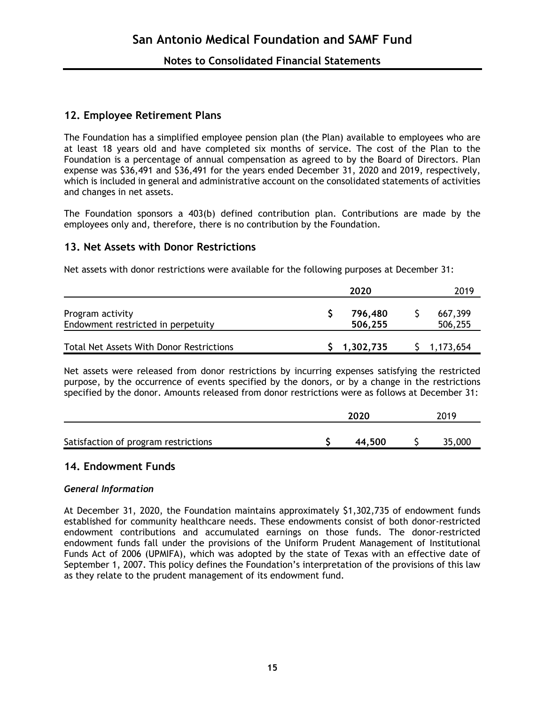## **12. Employee Retirement Plans**

The Foundation has a simplified employee pension plan (the Plan) available to employees who are at least 18 years old and have completed six months of service. The cost of the Plan to the Foundation is a percentage of annual compensation as agreed to by the Board of Directors. Plan expense was \$36,491 and \$36,491 for the years ended December 31, 2020 and 2019, respectively, which is included in general and administrative account on the consolidated statements of activities and changes in net assets.

The Foundation sponsors a 403(b) defined contribution plan. Contributions are made by the employees only and, therefore, there is no contribution by the Foundation.

### **13. Net Assets with Donor Restrictions**

Net assets with donor restrictions were available for the following purposes at December 31:

|                                                        | 2020               | 2019               |  |
|--------------------------------------------------------|--------------------|--------------------|--|
| Program activity<br>Endowment restricted in perpetuity | 796,480<br>506,255 | 667,399<br>506,255 |  |
| Total Net Assets With Donor Restrictions               | \$1,302,735        | \$1,173,654        |  |

Net assets were released from donor restrictions by incurring expenses satisfying the restricted purpose, by the occurrence of events specified by the donors, or by a change in the restrictions specified by the donor. Amounts released from donor restrictions were as follows at December 31:

|                                      | 2020   | 2019   |
|--------------------------------------|--------|--------|
|                                      |        |        |
| Satisfaction of program restrictions | 44.500 | 35.000 |

#### **14. Endowment Funds**

#### *General Information*

At December 31, 2020, the Foundation maintains approximately \$1,302,735 of endowment funds established for community healthcare needs. These endowments consist of both donor-restricted endowment contributions and accumulated earnings on those funds. The donor-restricted endowment funds fall under the provisions of the Uniform Prudent Management of Institutional Funds Act of 2006 (UPMIFA), which was adopted by the state of Texas with an effective date of September 1, 2007. This policy defines the Foundation's interpretation of the provisions of this law as they relate to the prudent management of its endowment fund.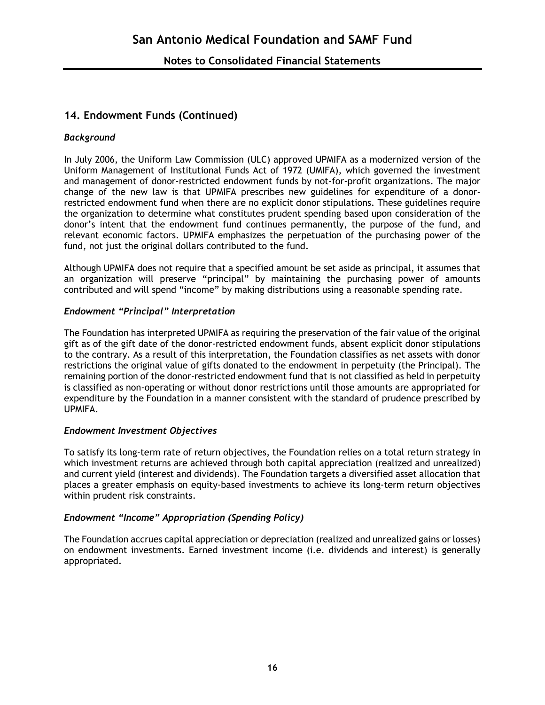# **14. Endowment Funds (Continued)**

#### *Background*

In July 2006, the Uniform Law Commission (ULC) approved UPMIFA as a modernized version of the Uniform Management of Institutional Funds Act of 1972 (UMIFA), which governed the investment and management of donor-restricted endowment funds by not-for-profit organizations. The major change of the new law is that UPMIFA prescribes new guidelines for expenditure of a donorrestricted endowment fund when there are no explicit donor stipulations. These guidelines require the organization to determine what constitutes prudent spending based upon consideration of the donor's intent that the endowment fund continues permanently, the purpose of the fund, and relevant economic factors. UPMIFA emphasizes the perpetuation of the purchasing power of the fund, not just the original dollars contributed to the fund.

Although UPMIFA does not require that a specified amount be set aside as principal, it assumes that an organization will preserve "principal" by maintaining the purchasing power of amounts contributed and will spend "income" by making distributions using a reasonable spending rate.

#### *Endowment "Principal" Interpretation*

The Foundation has interpreted UPMIFA as requiring the preservation of the fair value of the original gift as of the gift date of the donor-restricted endowment funds, absent explicit donor stipulations to the contrary. As a result of this interpretation, the Foundation classifies as net assets with donor restrictions the original value of gifts donated to the endowment in perpetuity (the Principal). The remaining portion of the donor-restricted endowment fund that is not classified as held in perpetuity is classified as non-operating or without donor restrictions until those amounts are appropriated for expenditure by the Foundation in a manner consistent with the standard of prudence prescribed by UPMIFA.

#### *Endowment Investment Objectives*

To satisfy its long-term rate of return objectives, the Foundation relies on a total return strategy in which investment returns are achieved through both capital appreciation (realized and unrealized) and current yield (interest and dividends). The Foundation targets a diversified asset allocation that places a greater emphasis on equity-based investments to achieve its long-term return objectives within prudent risk constraints.

#### *Endowment "Income" Appropriation (Spending Policy)*

The Foundation accrues capital appreciation or depreciation (realized and unrealized gains or losses) on endowment investments. Earned investment income (i.e. dividends and interest) is generally appropriated.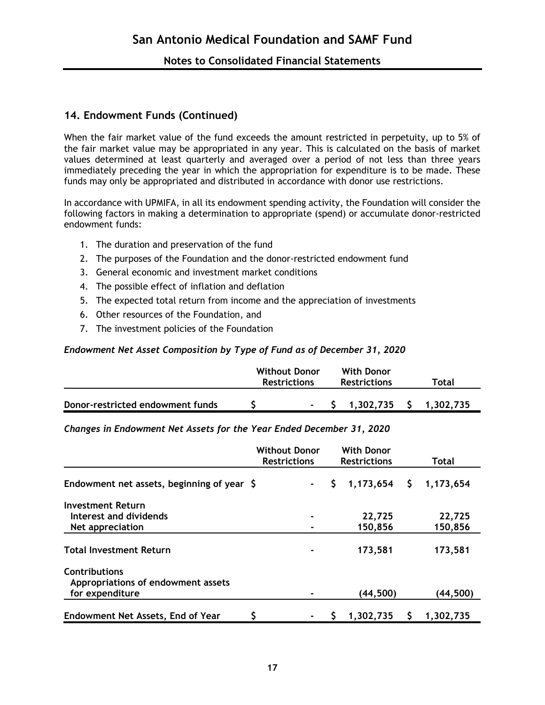### **Notes to Consolidated Financial Statements**

# **14. Endowment Funds (Continued)**

When the fair market value of the fund exceeds the amount restricted in perpetuity, up to 5% of the fair market value may be appropriated in any year. This is calculated on the basis of market values determined at least quarterly and averaged over a period of not less than three years immediately preceding the year in which the appropriation for expenditure is to be made. These funds may only be appropriated and distributed in accordance with donor use restrictions.

In accordance with UPMIFA, in all its endowment spending activity, the Foundation will consider the following factors in making a determination to appropriate (spend) or accumulate donor-restricted endowment funds:

- 1. The duration and preservation of the fund
- 2. The purposes of the Foundation and the donor-restricted endowment fund
- 3. General economic and investment market conditions
- 4. The possible effect of inflation and deflation
- 5. The expected total return from income and the appreciation of investments
- 6. Other resources of the Foundation, and
- 7. The investment policies of the Foundation

#### *Endowment Net Asset Composition by Type of Fund as of December 31, 2020*

|                                  | <b>Without Donor</b><br><b>Restrictions</b> |  | <b>With Donor</b><br><b>Restrictions</b> | Total |           |  |
|----------------------------------|---------------------------------------------|--|------------------------------------------|-------|-----------|--|
| Donor-restricted endowment funds |                                             |  | 1.302.735                                |       | 1,302,735 |  |

#### *Changes in Endowment Net Assets for the Year Ended December 31, 2020*

|                                                       | <b>Without Donor</b><br><b>Restrictions</b> | <b>With Donor</b><br><b>Restrictions</b> |           | <b>Total</b> |           |
|-------------------------------------------------------|---------------------------------------------|------------------------------------------|-----------|--------------|-----------|
| Endowment net assets, beginning of year $\Diamond$    | $\blacksquare$                              | S.                                       | 1,173,654 | S.           | 1,173,654 |
| Investment Return                                     |                                             |                                          |           |              |           |
| Interest and dividends                                |                                             |                                          | 22,725    |              | 22,725    |
| Net appreciation                                      |                                             |                                          | 150,856   |              | 150,856   |
| <b>Total Investment Return</b>                        |                                             |                                          | 173,581   |              | 173,581   |
| <b>Contributions</b>                                  |                                             |                                          |           |              |           |
| Appropriations of endowment assets<br>for expenditure |                                             |                                          | (44, 500) |              | (44, 500) |
| <b>Endowment Net Assets, End of Year</b>              | S                                           |                                          | 1,302,735 |              | 1,302,735 |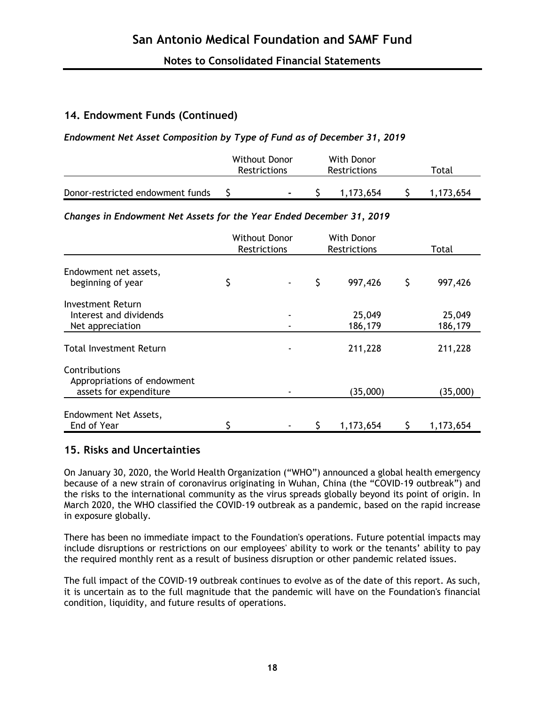# **14. Endowment Funds (Continued)**

*Endowment Net Asset Composition by Type of Fund as of December 31, 2019*

|                                  | Without Donor<br><b>Restrictions</b> | With Donor<br><b>Restrictions</b> |           | Total |           |
|----------------------------------|--------------------------------------|-----------------------------------|-----------|-------|-----------|
| Donor-restricted endowment funds | $\sim$                               |                                   | 1.173.654 |       | 1,173,654 |

*Changes in Endowment Net Assets for the Year Ended December 31, 2019*

|                                                                        |                     | <b>Without Donor</b><br>Restrictions | With Donor<br>Restrictions |                   | Total   |                   |
|------------------------------------------------------------------------|---------------------|--------------------------------------|----------------------------|-------------------|---------|-------------------|
| Endowment net assets,<br>beginning of year                             | \$<br>\$<br>997,426 |                                      |                            | \$                | 997,426 |                   |
| Investment Return<br>Interest and dividends<br>Net appreciation        |                     |                                      |                            | 25,049<br>186,179 |         | 25,049<br>186,179 |
| Total Investment Return                                                |                     |                                      |                            | 211,228           |         | 211,228           |
| Contributions<br>Appropriations of endowment<br>assets for expenditure |                     |                                      |                            | (35,000)          |         | (35,000)          |
| Endowment Net Assets,<br>End of Year                                   |                     |                                      |                            | 1,173,654         |         | 1,173,654         |

# **15. Risks and Uncertainties**

On January 30, 2020, the World Health Organization ("WHO") announced a global health emergency because of a new strain of coronavirus originating in Wuhan, China (the "COVID-19 outbreak") and the risks to the international community as the virus spreads globally beyond its point of origin. In March 2020, the WHO classified the COVID-19 outbreak as a pandemic, based on the rapid increase in exposure globally.

There has been no immediate impact to the Foundation's operations. Future potential impacts may include disruptions or restrictions on our employees' ability to work or the tenants' ability to pay the required monthly rent as a result of business disruption or other pandemic related issues.

The full impact of the COVID-19 outbreak continues to evolve as of the date of this report. As such, it is uncertain as to the full magnitude that the pandemic will have on the Foundation's financial condition, liquidity, and future results of operations.